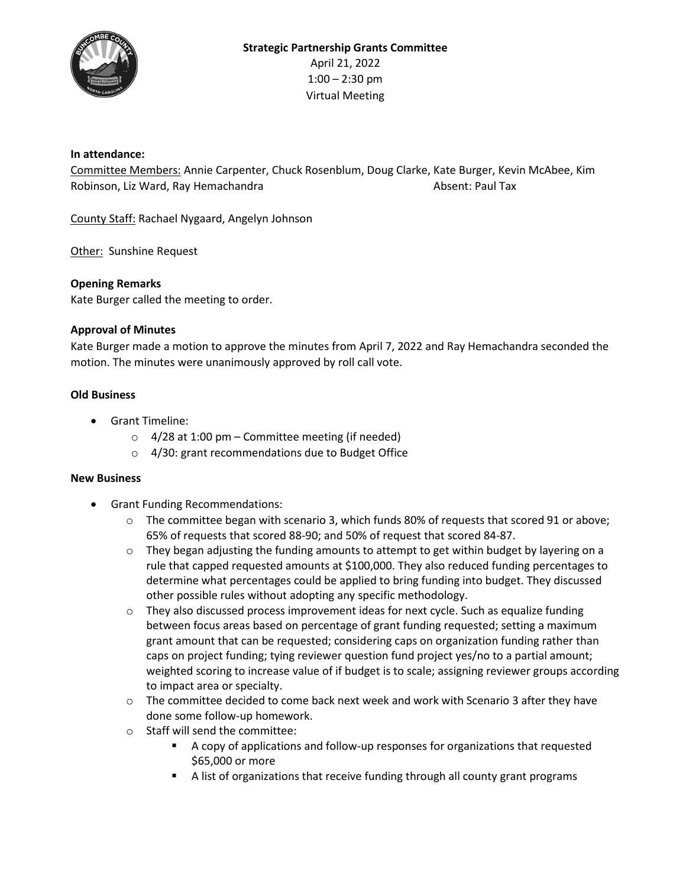

# **In attendance:**

Committee Members: Annie Carpenter, Chuck Rosenblum, Doug Clarke, Kate Burger, Kevin McAbee, Kim Robinson, Liz Ward, Ray Hemachandra Absent: Paul Tax

County Staff: Rachael Nygaard, Angelyn Johnson

**Other: Sunshine Request** 

# **Opening Remarks**

Kate Burger called the meeting to order.

### **Approval of Minutes**

Kate Burger made a motion to approve the minutes from April 7, 2022 and Ray Hemachandra seconded the motion. The minutes were unanimously approved by roll call vote.

## **Old Business**

- Grant Timeline:
	- $\circ$  4/28 at 1:00 pm Committee meeting (if needed)
	- o 4/30: grant recommendations due to Budget Office

#### **New Business**

- Grant Funding Recommendations:
	- o The committee began with scenario 3, which funds 80% of requests that scored 91 or above; 65% of requests that scored 88-90; and 50% of request that scored 84-87.
	- $\circ$  They began adjusting the funding amounts to attempt to get within budget by layering on a rule that capped requested amounts at \$100,000. They also reduced funding percentages to determine what percentages could be applied to bring funding into budget. They discussed other possible rules without adopting any specific methodology.
	- $\circ$  They also discussed process improvement ideas for next cycle. Such as equalize funding between focus areas based on percentage of grant funding requested; setting a maximum grant amount that can be requested; considering caps on organization funding rather than caps on project funding; tying reviewer question fund project yes/no to a partial amount; weighted scoring to increase value of if budget is to scale; assigning reviewer groups according to impact area or specialty.
	- $\circ$  The committee decided to come back next week and work with Scenario 3 after they have done some follow-up homework.
	- o Staff will send the committee:
		- A copy of applications and follow-up responses for organizations that requested \$65,000 or more
		- A list of organizations that receive funding through all county grant programs